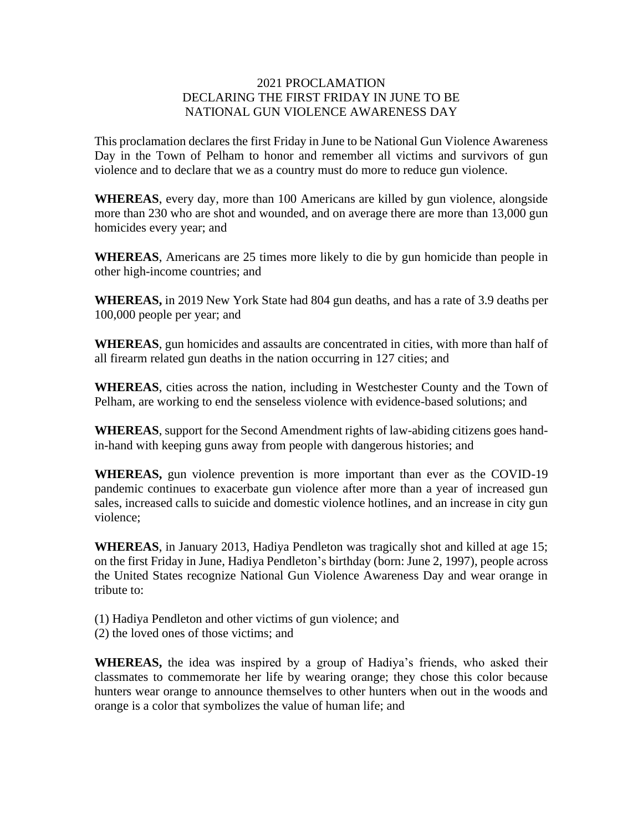## 2021 PROCLAMATION DECLARING THE FIRST FRIDAY IN JUNE TO BE NATIONAL GUN VIOLENCE AWARENESS DAY

This proclamation declares the first Friday in June to be National Gun Violence Awareness Day in the Town of Pelham to honor and remember all victims and survivors of gun violence and to declare that we as a country must do more to reduce gun violence.

**WHEREAS**, every day, more than 100 Americans are killed by gun violence, alongside more than 230 who are shot and wounded, and on average there are more than 13,000 gun homicides every year; and

**WHEREAS**, Americans are 25 times more likely to die by gun homicide than people in other high-income countries; and

**WHEREAS,** in 2019 New York State had 804 gun deaths, and has a rate of 3.9 deaths per 100,000 people per year; and

**WHEREAS**, gun homicides and assaults are concentrated in cities, with more than half of all firearm related gun deaths in the nation occurring in 127 cities; and

**WHEREAS**, cities across the nation, including in Westchester County and the Town of Pelham, are working to end the senseless violence with evidence-based solutions; and

**WHEREAS**, support for the Second Amendment rights of law-abiding citizens goes handin-hand with keeping guns away from people with dangerous histories; and

**WHEREAS,** gun violence prevention is more important than ever as the COVID-19 pandemic continues to exacerbate gun violence after more than a year of increased gun sales, increased calls to suicide and domestic violence hotlines, and an increase in city gun violence;

**WHEREAS**, in January 2013, Hadiya Pendleton was tragically shot and killed at age 15; on the first Friday in June, Hadiya Pendleton's birthday (born: June 2, 1997), people across the United States recognize National Gun Violence Awareness Day and wear orange in tribute to:

- (1) Hadiya Pendleton and other victims of gun violence; and
- (2) the loved ones of those victims; and

**WHEREAS,** the idea was inspired by a group of Hadiya's friends, who asked their classmates to commemorate her life by wearing orange; they chose this color because hunters wear orange to announce themselves to other hunters when out in the woods and orange is a color that symbolizes the value of human life; and